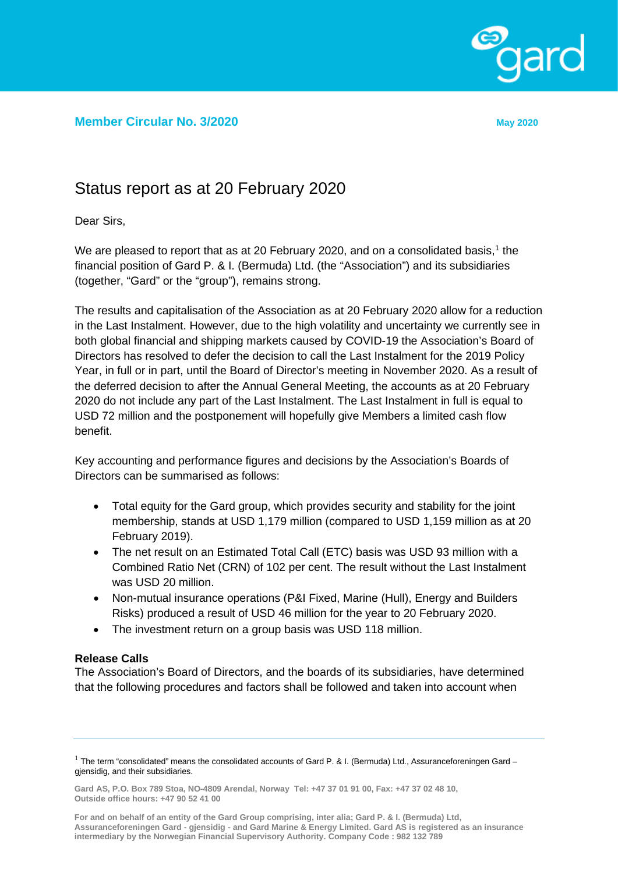

**Member Circular No. 3/2020 May** 2020

# Status report as at 20 February 2020

Dear Sirs,

We are pleased to report that as at 20 February 2020, and on a consolidated basis,<sup>[1](#page-0-0)</sup> the financial position of Gard P. & I. (Bermuda) Ltd. (the "Association") and its subsidiaries (together, "Gard" or the "group"), remains strong.

The results and capitalisation of the Association as at 20 February 2020 allow for a reduction in the Last Instalment. However, due to the high volatility and uncertainty we currently see in both global financial and shipping markets caused by COVID-19 the Association's Board of Directors has resolved to defer the decision to call the Last Instalment for the 2019 Policy Year, in full or in part, until the Board of Director's meeting in November 2020. As a result of the deferred decision to after the Annual General Meeting, the accounts as at 20 February 2020 do not include any part of the Last Instalment. The Last Instalment in full is equal to USD 72 million and the postponement will hopefully give Members a limited cash flow benefit.

Key accounting and performance figures and decisions by the Association's Boards of Directors can be summarised as follows:

- Total equity for the Gard group, which provides security and stability for the joint membership, stands at USD 1,179 million (compared to USD 1,159 million as at 20 February 2019).
- The net result on an Estimated Total Call (ETC) basis was USD 93 million with a Combined Ratio Net (CRN) of 102 per cent. The result without the Last Instalment was USD 20 million.
- Non-mutual insurance operations (P&I Fixed, Marine (Hull), Energy and Builders Risks) produced a result of USD 46 million for the year to 20 February 2020.
- The investment return on a group basis was USD 118 million.

# **Release Calls**

The Association's Board of Directors, and the boards of its subsidiaries, have determined that the following procedures and factors shall be followed and taken into account when

**Gard AS, P.O. Box 789 Stoa, NO-4809 Arendal, Norway Tel: +47 37 01 91 00, Fax: +47 37 02 48 10, Outside office hours: +47 90 52 41 00**

<span id="page-0-0"></span> $1$  The term "consolidated" means the consolidated accounts of Gard P. & I. (Bermuda) Ltd., Assuranceforeningen Gard – gjensidig, and their subsidiaries.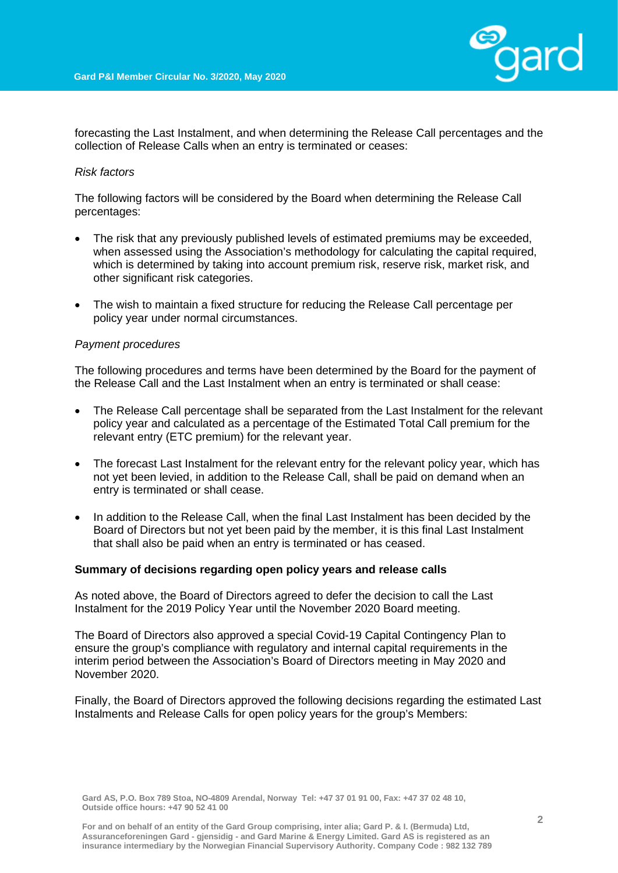

forecasting the Last Instalment, and when determining the Release Call percentages and the collection of Release Calls when an entry is terminated or ceases:

## *Risk factors*

The following factors will be considered by the Board when determining the Release Call percentages:

- The risk that any previously published levels of estimated premiums may be exceeded, when assessed using the Association's methodology for calculating the capital required, which is determined by taking into account premium risk, reserve risk, market risk, and other significant risk categories.
- The wish to maintain a fixed structure for reducing the Release Call percentage per policy year under normal circumstances.

### *Payment procedures*

The following procedures and terms have been determined by the Board for the payment of the Release Call and the Last Instalment when an entry is terminated or shall cease:

- The Release Call percentage shall be separated from the Last Instalment for the relevant policy year and calculated as a percentage of the Estimated Total Call premium for the relevant entry (ETC premium) for the relevant year.
- The forecast Last Instalment for the relevant entry for the relevant policy year, which has not yet been levied, in addition to the Release Call, shall be paid on demand when an entry is terminated or shall cease.
- In addition to the Release Call, when the final Last Instalment has been decided by the Board of Directors but not yet been paid by the member, it is this final Last Instalment that shall also be paid when an entry is terminated or has ceased.

### **Summary of decisions regarding open policy years and release calls**

As noted above, the Board of Directors agreed to defer the decision to call the Last Instalment for the 2019 Policy Year until the November 2020 Board meeting.

The Board of Directors also approved a special Covid-19 Capital Contingency Plan to ensure the group's compliance with regulatory and internal capital requirements in the interim period between the Association's Board of Directors meeting in May 2020 and November 2020.

Finally, the Board of Directors approved the following decisions regarding the estimated Last Instalments and Release Calls for open policy years for the group's Members:

**Gard AS, P.O. Box 789 Stoa, NO-4809 Arendal, Norway Tel: +47 37 01 91 00, Fax: +47 37 02 48 10, Outside office hours: +47 90 52 41 00**